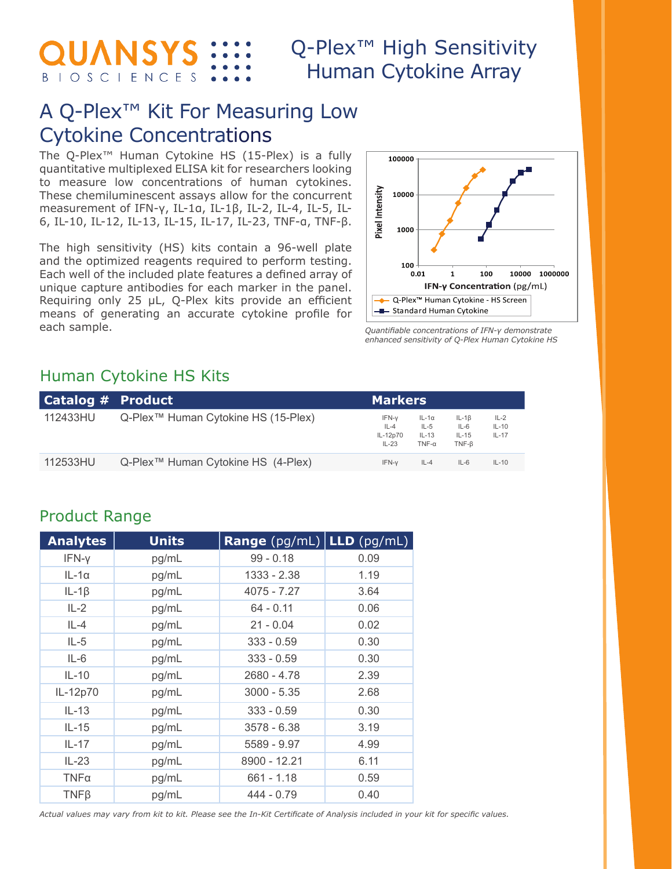QUANSYS **BIOSCIENCES**  Q-Plex<sup>™</sup> High Sensitivity Human Cytokine Array

## A Q-Plex™ Kit For Measuring Low Cytokine Concentrations

The Q-Plex™ Human Cytokine HS (15-Plex) is a fully quantitative multiplexed ELISA kit for researchers looking to measure low concentrations of human cytokines. These chemiluminescent assays allow for the concurrent measurement of IFN-γ, IL-1α, IL-1β, IL-2, IL-4, IL-5, IL-6, IL-10, IL-12, IL-13, IL-15, IL-17, IL-23, TNF-α, TNF-β.

The high sensitivity (HS) kits contain a 96-well plate and the optimized reagents required to perform testing. Each well of the included plate features a defined array of unique capture antibodies for each marker in the panel. Requiring only 25 µL, Q-Plex kits provide an efficient means of generating an accurate cytokine profile for each sample.



*Quantifiable concentrations of IFN-γ demonstrate enhanced sensitivity of Q-Plex Human Cytokine HS*

#### Human Cytokine HS Kits

| Catalog $#$ Product |                                                 | <b>Markers</b>                           |                                                   |                                         |                                |
|---------------------|-------------------------------------------------|------------------------------------------|---------------------------------------------------|-----------------------------------------|--------------------------------|
| 112433HU            | Q-Plex <sup>™</sup> Human Cytokine HS (15-Plex) | IFN-v<br>$IL - 4$<br>IL-12p70<br>$IL-23$ | $IL-1\alpha$<br>$IL-5$<br>$IL-13$<br>$TNF-\alpha$ | $IL-1B$<br>$IL-6$<br>$IL-15$<br>$TNF-B$ | $IL-2$<br>$IL-10$<br>$IL - 17$ |
| 112533HU            | Q-Plex™ Human Cytokine HS (4-Plex)              | IFN-v                                    | $IL-4$                                            | $IL-6$                                  | $IL-10$                        |

#### Product Range

| <b>Analytes</b> | <b>Units</b> | <b>Range</b> $(pg/mL)$ <b>LLD</b> $(pg/mL)$ |      |
|-----------------|--------------|---------------------------------------------|------|
| IFN-y           | pg/mL        | $99 - 0.18$                                 | 0.09 |
| $IL-1\alpha$    | pg/mL        | 1333 - 2.38                                 | 1.19 |
| $IL-1\beta$     | pg/mL        | 4075 - 7.27                                 | 3.64 |
| $IL-2$          | pg/mL        | $64 - 0.11$                                 | 0.06 |
| $IL-4$          | pg/mL        | $21 - 0.04$                                 | 0.02 |
| $IL-5$          | pg/mL        | $333 - 0.59$                                | 0.30 |
| $IL-6$          | pg/mL        | $333 - 0.59$                                | 0.30 |
| $IL-10$         | pg/mL        | 2680 - 4.78                                 | 2.39 |
| IL-12p70        | pg/mL        | $3000 - 5.35$                               | 2.68 |
| $IL-13$         | pg/mL        | $333 - 0.59$                                | 0.30 |
| $IL-15$         | pg/mL        | 3578 - 6.38                                 | 3.19 |
| $IL-17$         | pg/mL        | 5589 - 9.97                                 | 4.99 |
| $IL-23$         | pg/mL        | 8900 - 12.21                                | 6.11 |
| $TNF\alpha$     | pg/mL        | $661 - 1.18$                                | 0.59 |
| $TNF\beta$      | pg/mL        | $444 - 0.79$                                | 0.40 |

*Actual values may vary from kit to kit. Please see the In-Kit Certificate of Analysis included in your kit for specific values.*